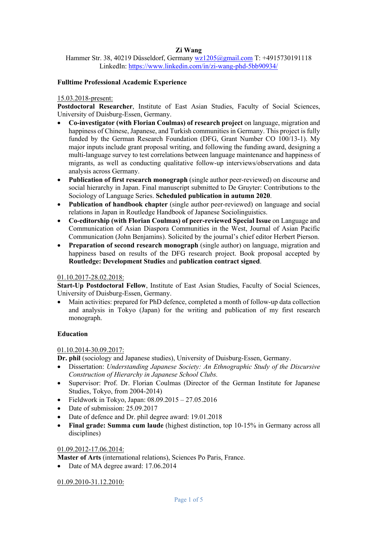# **Zi Wang**

Hammer Str. 38, 40219 Düsseldorf, Germany wz1205@gmail.com T: +4915730191118 LinkedIn: https://www.linkedin.com/in/zi-wang-phd-5bb90934/

## **Fulltime Professional Academic Experience**

# 15.03.2018-present:

**Postdoctoral Researcher**, Institute of East Asian Studies, Faculty of Social Sciences, University of Duisburg-Essen, Germany.

- **Co-investigator (with Florian Coulmas) of research project** on language, migration and happiness of Chinese, Japanese, and Turkish communities in Germany. This project is fully funded by the German Research Foundation (DFG, Grant Number CO 100/13-1). My major inputs include grant proposal writing, and following the funding award, designing a multi-language survey to test correlations between language maintenance and happiness of migrants, as well as conducting qualitative follow-up interviews/observations and data analysis across Germany.
- **Publication of first research monograph** (single author peer-reviewed) on discourse and social hierarchy in Japan. Final manuscript submitted to De Gruyter: Contributions to the Sociology of Language Series. **Scheduled publication in autumn 2020**.
- **Publication of handbook chapter** (single author peer-reviewed) on language and social relations in Japan in Routledge Handbook of Japanese Sociolinguistics.
- **Co-editorship (with Florian Coulmas) of peer-reviewed Special Issue** on Language and Communication of Asian Diaspora Communities in the West, Journal of Asian Pacific Communication (John Benjamins). Solicited by the journal's chief editor Herbert Pierson.
- **Preparation of second research monograph** (single author) on language, migration and happiness based on results of the DFG research project. Book proposal accepted by **Routledge: Development Studies** and **publication contract signed**.

# 01.10.2017-28.02.2018:

**Start-Up Postdoctoral Fellow**, Institute of East Asian Studies, Faculty of Social Sciences, University of Duisburg-Essen, Germany.

• Main activities: prepared for PhD defence, completed a month of follow-up data collection and analysis in Tokyo (Japan) for the writing and publication of my first research monograph.

# **Education**

# 01.10.2014-30.09.2017:

**Dr. phil** (sociology and Japanese studies), University of Duisburg-Essen, Germany.

- Dissertation: *Understanding Japanese Society: An Ethnographic Study of the Discursive Construction of Hierarchy in Japanese School Clubs.*
- Supervisor: Prof. Dr. Florian Coulmas (Director of the German Institute for Japanese Studies, Tokyo, from 2004-2014)
- Fieldwork in Tokyo, Japan:  $08.09.2015 27.05.2016$
- Date of submission: 25.09.2017
- Date of defence and Dr. phil degree award: 19.01.2018
- **Final grade: Summa cum laude** (highest distinction, top 10-15% in Germany across all disciplines)

### 01.09.2012-17.06.2014:

**Master of Arts** (international relations), Sciences Po Paris, France.

• Date of MA degree award: 17.06.2014

01.09.2010-31.12.2010: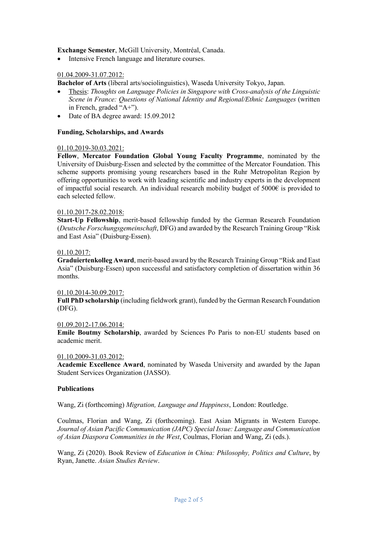## **Exchange Semester**, McGill University, Montréal, Canada.

• Intensive French language and literature courses.

## 01.04.2009-31.07.2012:

**Bachelor of Arts** (liberal arts/sociolinguistics), Waseda University Tokyo, Japan.

- Thesis: *Thoughts on Language Policies in Singapore with Cross-analysis of the Linguistic Scene in France: Questions of National Identity and Regional/Ethnic Languages* (written in French, graded "A+").
- Date of BA degree award: 15.09.2012

### **Funding, Scholarships, and Awards**

### 01.10.2019-30.03.2021:

**Fellow**, **Mercator Foundation Global Young Faculty Programme**, nominated by the University of Duisburg-Essen and selected by the committee of the Mercator Foundation. This scheme supports promising young researchers based in the Ruhr Metropolitan Region by offering opportunities to work with leading scientific and industry experts in the development of impactful social research. An individual research mobility budget of 5000€ is provided to each selected fellow.

## 01.10.2017-28.02.2018:

**Start-Up Fellowship**, merit-based fellowship funded by the German Research Foundation (*Deutsche Forschungsgemeinschaft*, DFG) and awarded by the Research Training Group "Risk and East Asia" (Duisburg-Essen).

### 01.10.2017:

**Graduiertenkolleg Award**, merit-based award by the Research Training Group "Risk and East Asia" (Duisburg-Essen) upon successful and satisfactory completion of dissertation within 36 months.

### 01.10.2014-30.09.2017:

**Full PhD scholarship** (including fieldwork grant), funded by the German Research Foundation (DFG).

### 01.09.2012-17.06.2014:

**Emile Boutmy Scholarship**, awarded by Sciences Po Paris to non-EU students based on academic merit.

### 01.10.2009-31.03.2012:

**Academic Excellence Award**, nominated by Waseda University and awarded by the Japan Student Services Organization (JASSO).

### **Publications**

Wang, Zi (forthcoming) *Migration, Language and Happiness*, London: Routledge.

Coulmas, Florian and Wang, Zi (forthcoming). East Asian Migrants in Western Europe. *Journal of Asian Pacific Communication (JAPC) Special Issue: Language and Communication of Asian Diaspora Communities in the West*, Coulmas, Florian and Wang, Zi (eds.).

Wang, Zi (2020). Book Review of *Education in China: Philosophy, Politics and Culture*, by Ryan, Janette. *Asian Studies Review*.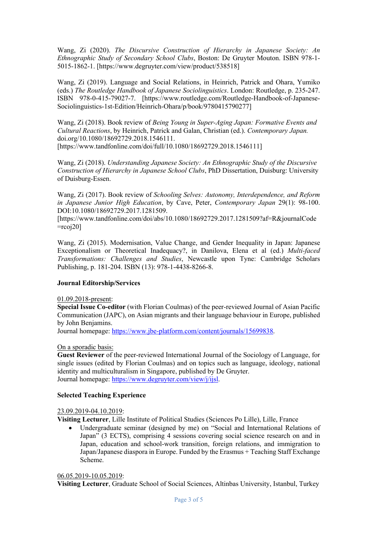Wang, Zi (2020). *The Discursive Construction of Hierarchy in Japanese Society: An Ethnographic Study of Secondary School Clubs*, Boston: De Gruyter Mouton. ISBN 978-1- 5015-1862-1. [https://www.degruyter.com/view/product/538518]

Wang, Zi (2019). Language and Social Relations, in Heinrich, Patrick and Ohara, Yumiko (eds.) *The Routledge Handbook of Japanese Sociolinguistics*. London: Routledge, p. 235-247. ISBN 978-0-415-79027-7. [https://www.routledge.com/Routledge-Handbook-of-Japanese-Sociolinguistics-1st-Edition/Heinrich-Ohara/p/book/9780415790277]

Wang, Zi (2018). Book review of *Being Young in Super-Aging Japan: Formative Events and Cultural Reactions*, by Heinrich, Patrick and Galan, Christian (ed.). *Contemporary Japan.*  doi.org/10.1080/18692729.2018.1546111. [https://www.tandfonline.com/doi/full/10.1080/18692729.2018.1546111]

Wang, Zi (2018). *Understanding Japanese Society: An Ethnographic Study of the Discursive Construction of Hierarchy in Japanese School Clubs*, PhD Dissertation, Duisburg: University of Duisburg-Essen.

Wang, Zi (2017). Book review of *Schooling Selves: Autonomy, Interdependence, and Reform in Japanese Junior High Education*, by Cave, Peter, *Contemporary Japan* 29(1): 98-100. DOI:10.1080/18692729.2017.1281509.

[https://www.tandfonline.com/doi/abs/10.1080/18692729.2017.1281509?af=R&journalCode  $=$ rcoj20]

Wang, Zi (2015). Modernisation, Value Change, and Gender Inequality in Japan: Japanese Exceptionalism or Theoretical Inadequacy?, in Danilova, Elena et al (ed.) *Multi-faced Transformations: Challenges and Studies*, Newcastle upon Tyne: Cambridge Scholars Publishing, p. 181-204. ISBN (13): 978-1-4438-8266-8.

### **Journal Editorship/Services**

### 01.09.2018-present:

**Special Issue Co-editor** (with Florian Coulmas) of the peer-reviewed Journal of Asian Pacific Communication (JAPC), on Asian migrants and their language behaviour in Europe, published by John Benjamins.

Journal homepage: https://www.jbe-platform.com/content/journals/15699838.

### On a sporadic basis:

**Guest Reviewer** of the peer-reviewed International Journal of the Sociology of Language, for single issues (edited by Florian Coulmas) and on topics such as language, ideology, national identity and multiculturalism in Singapore, published by De Gruyter. Journal homepage: https://www.degruyter.com/view/j/ijsl.

### **Selected Teaching Experience**

### 23.09.2019-04.10.2019:

**Visiting Lecturer**, Lille Institute of Political Studies (Sciences Po Lille), Lille, France

Undergraduate seminar (designed by me) on "Social and International Relations of Japan" (3 ECTS), comprising 4 sessions covering social science research on and in Japan, education and school-work transition, foreign relations, and immigration to Japan/Japanese diaspora in Europe. Funded by the Erasmus + Teaching Staff Exchange Scheme.

#### 06.05.2019-10.05.2019:

**Visiting Lecturer**, Graduate School of Social Sciences, Altinbas University, Istanbul, Turkey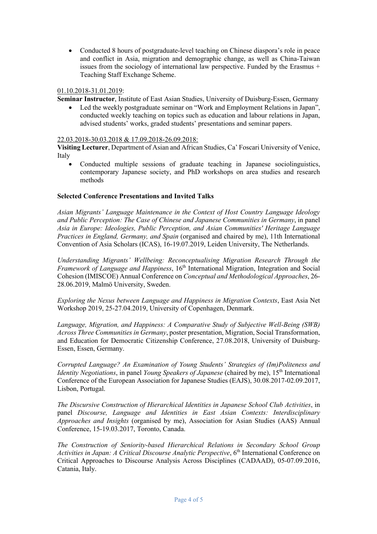• Conducted 8 hours of postgraduate-level teaching on Chinese diaspora's role in peace and conflict in Asia, migration and demographic change, as well as China-Taiwan issues from the sociology of international law perspective. Funded by the Erasmus + Teaching Staff Exchange Scheme.

# 01.10.2018-31.01.2019:

**Seminar Instructor**, Institute of East Asian Studies, University of Duisburg-Essen, Germany

Led the weekly postgraduate seminar on "Work and Employment Relations in Japan", conducted weekly teaching on topics such as education and labour relations in Japan, advised students' works, graded students' presentations and seminar papers.

### 22.03.2018-30.03.2018 & 17.09.2018-26.09.2018:

**Visiting Lecturer**, Department of Asian and African Studies, Ca' Foscari University of Venice, Italy

• Conducted multiple sessions of graduate teaching in Japanese sociolinguistics, contemporary Japanese society, and PhD workshops on area studies and research methods

### **Selected Conference Presentations and Invited Talks**

*Asian Migrants' Language Maintenance in the Context of Host Country Language Ideology and Public Perception: The Case of Chinese and Japanese Communities in Germany*, in panel *Asia in Europe: Ideologies, Public Perception, and Asian Communities' Heritage Language Practices in England, Germany, and Spain* (organised and chaired by me), 11th International Convention of Asia Scholars (ICAS), 16-19.07.2019, Leiden University, The Netherlands.

*Understanding Migrants' Wellbeing: Reconceptualising Migration Research Through the Framework of Language and Happiness*, 16<sup>th</sup> International Migration, Integration and Social Cohesion (IMISCOE) Annual Conference on *Conceptual and Methodological Approaches*, 26- 28.06.2019, Malmö University, Sweden.

*Exploring the Nexus between Language and Happiness in Migration Contexts*, East Asia Net Workshop 2019, 25-27.04.2019, University of Copenhagen, Denmark.

*Language, Migration, and Happiness: A Comparative Study of Subjective Well-Being (SWB) Across Three Communities in Germany*, poster presentation, Migration, Social Transformation, and Education for Democratic Citizenship Conference, 27.08.2018, University of Duisburg-Essen, Essen, Germany.

*Corrupted Language? An Examination of Young Students' Strategies of (Im)Politeness and Identity Negotiations*, in panel *Young Speakers of Japanese* (chaired by me), 15<sup>th</sup> International Conference of the European Association for Japanese Studies (EAJS), 30.08.2017-02.09.2017, Lisbon, Portugal.

*The Discursive Construction of Hierarchical Identities in Japanese School Club Activities*, in panel *Discourse, Language and Identities in East Asian Contexts: Interdisciplinary Approaches and Insights* (organised by me), Association for Asian Studies (AAS) Annual Conference, 15-19.03.2017, Toronto, Canada.

*The Construction of Seniority-based Hierarchical Relations in Secondary School Group Activities in Japan: A Critical Discourse Analytic Perspective*, 6<sup>th</sup> International Conference on Critical Approaches to Discourse Analysis Across Disciplines (CADAAD), 05-07.09.2016, Catania, Italy.